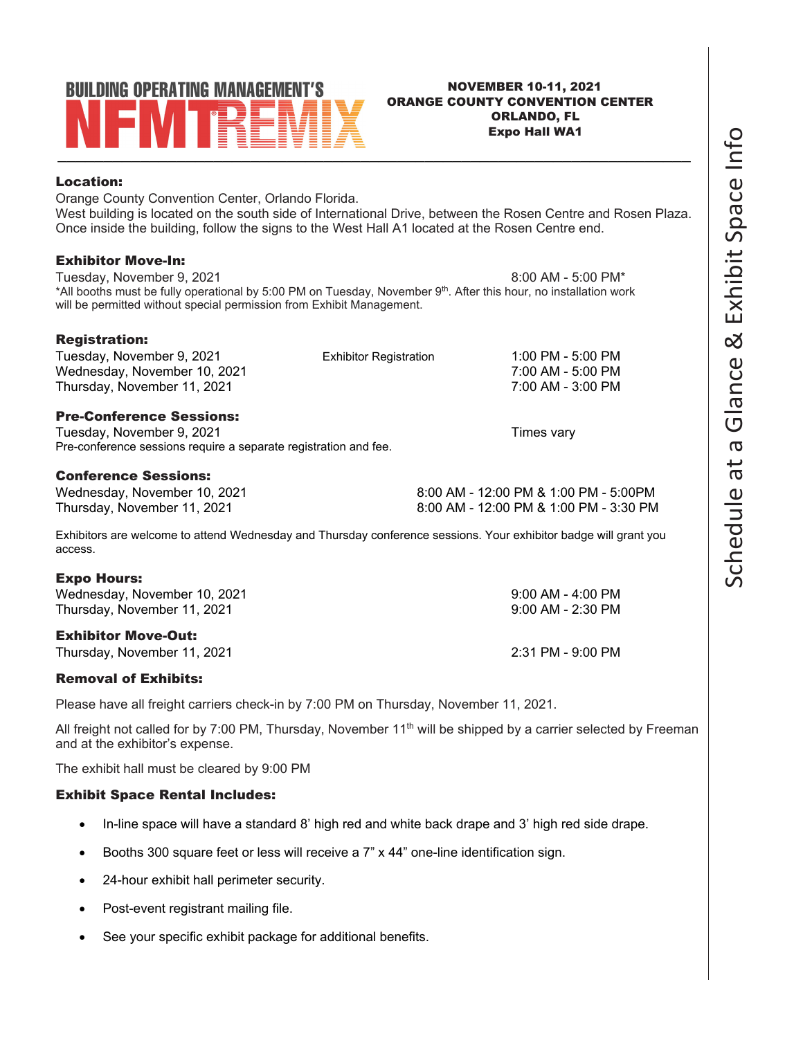# **BUILDING OPERATING MANAGEMENT'S** \_\_\_\_\_\_\_\_\_\_\_\_\_\_\_\_\_\_\_\_\_\_\_\_\_\_\_\_\_\_\_\_\_\_\_\_\_\_\_\_\_\_\_\_\_\_\_\_\_\_\_\_\_\_\_\_\_\_\_\_\_\_\_\_\_\_\_\_\_ Location:

### NOVEMBER 10-11, 2021 ORANGE COUNTY CONVENTION CENTER ORLANDO, FL Expo Hall WA1

Orange County Convention Center, Orlando Florida. West building is located on the south side of International Drive, between the Rosen Centre and Rosen Plaza. Once inside the building, follow the signs to the West Hall A1 located at the Rosen Centre end.

### Exhibitor Move-In:

Registration:

Tuesday, November 9, 2021 8:00 AM - 5:00 PM\* \*All booths must be fully operational by 5:00 PM on Tuesday, November 9th. After this hour, no installation work will be permitted without special permission from Exhibit Management.

| --- <i>-</i> ----------      |                               |                   |
|------------------------------|-------------------------------|-------------------|
| Tuesday, November 9, 2021    | <b>Exhibitor Registration</b> | 1:00 PM - 5:00 PM |
| Wednesday, November 10, 2021 |                               | 7:00 AM - 5:00 PM |
| Thursday, November 11, 2021  |                               | 7:00 AM - 3:00 PM |
|                              |                               |                   |

### Pre-Conference Sessions:

Tuesday, November 9, 2021 Tuesday, November 9, 2021 Pre-conference sessions require a separate registration and fee.

### Conference Sessions:

Wednesday, November 10, 2021 and the state of the state of 8:00 AM - 12:00 PM & 1:00 PM - 5:00 PM Thursday, November 11, 2021 **8:00 AM - 12:00 PM & 1:00 PM - 3:30 PM** 

Exhibitors are welcome to attend Wednesday and Thursday conference sessions. Your exhibitor badge will grant you access.

### Expo Hours:

Wednesday, November 10, 2021 **9:00 AM - 4:00 PM** Thursday, November 11, 2021 **9:00 AM - 2:30 PM** 

### Exhibitor Move-Out:

Thursday, November 11, 2021 2:31 PM - 9:00 PM

### Removal of Exhibits:

Please have all freight carriers check-in by 7:00 PM on Thursday, November 11, 2021.

All freight not called for by 7:00 PM, Thursday, November 11<sup>th</sup> will be shipped by a carrier selected by Freeman and at the exhibitor's expense.

The exhibit hall must be cleared by 9:00 PM

### Exhibit Space Rental Includes:

- In-line space will have a standard 8' high red and white back drape and 3' high red side drape.
- Booths 300 square feet or less will receive a 7" x 44" one-line identification sign.
- 24-hour exhibit hall perimeter security.
- Post-event registrant mailing file.
- See your specific exhibit package for additional benefits.